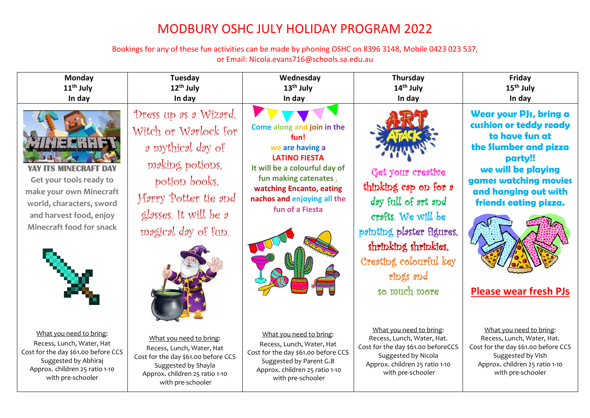## MODBURY OSHC JULY HOLIDAY PROGRAM 2022

Bookings for any of these fun activities can be made by phoning OSHC on 8396 3148, Mobile 0423 023 537, or Email: Nicola.evans716@schools.sa.edu.au

| Monday                                                                                                                                                                       | Tuesday                                                                                                                                                                                  | Wednesday                                                                                                                                                                                                             | Thursday                                                                                                                                                                                            | Friday                                                                                                                                                                                                                                 |
|------------------------------------------------------------------------------------------------------------------------------------------------------------------------------|------------------------------------------------------------------------------------------------------------------------------------------------------------------------------------------|-----------------------------------------------------------------------------------------------------------------------------------------------------------------------------------------------------------------------|-----------------------------------------------------------------------------------------------------------------------------------------------------------------------------------------------------|----------------------------------------------------------------------------------------------------------------------------------------------------------------------------------------------------------------------------------------|
| $11th$ July                                                                                                                                                                  | $12th$ July                                                                                                                                                                              | $13th$ July                                                                                                                                                                                                           | $14th$ July                                                                                                                                                                                         | $15th$ July                                                                                                                                                                                                                            |
| In day                                                                                                                                                                       | In day                                                                                                                                                                                   | In day                                                                                                                                                                                                                | In day                                                                                                                                                                                              | In day                                                                                                                                                                                                                                 |
| <b>YAY ITS MINECRAFT DAY</b><br>Get your tools ready to<br>make your own Minecraft<br>world, characters, sword<br>and harvest food, enjoy<br><b>Minecraft food for snack</b> | Dress up 2s 2 Wizard,<br>Witch or W <i>a</i> rlock for<br>a prythical day of<br>making potions,<br>potion books,<br>Harry Potter tie and<br>glasses. It will be a<br>magical day of fun. | Come along and join in the<br>fun!<br>we are having a<br><b>LATINO FIESTA</b><br>It will be a colourful day of<br>fun making catenates,<br>watching Encanto, eating<br>nachos and enjoying all the<br>fun of a Fiesta | Get your creative<br>thinking cap on for a<br>day full of art and<br>crafts. We will be<br>painting plaster figures.<br>shripking shripkies,<br>Creating colourful key<br>rings and<br>so much more | Wear your PJs, bring a<br>cushion or teddy ready<br>to have fun at<br>the Slumber and pizza<br>party!!<br>we will be playing<br>games watching movies<br>and hanging out with<br>friends eating pizza.<br><b>Please wear fresh PJs</b> |
| What you need to bring:                                                                                                                                                      | What you need to bring:                                                                                                                                                                  | What you need to bring:                                                                                                                                                                                               | What you need to bring:                                                                                                                                                                             | What you need to bring:                                                                                                                                                                                                                |
| Recess, Lunch, Water, Hat                                                                                                                                                    | Recess, Lunch, Water, Hat                                                                                                                                                                | Recess, Lunch, Water, Hat                                                                                                                                                                                             | Recess, Lunch, Water, Hat.                                                                                                                                                                          | Recess, Lunch, Water, Hat.                                                                                                                                                                                                             |
| Cost for the day \$61.00 before CCS                                                                                                                                          | Cost for the day \$61.00 before CCS                                                                                                                                                      | Cost for the day \$61.00 before CCS                                                                                                                                                                                   | Cost for the day \$61.00 beforeCCS                                                                                                                                                                  | Cost for the day \$61.00 before CCS                                                                                                                                                                                                    |
| Suggested by Abhiraj                                                                                                                                                         | Suggested by Shayla                                                                                                                                                                      | Suggested by Parent G.B                                                                                                                                                                                               | Suggested by Nicola                                                                                                                                                                                 | Suggested by Vish                                                                                                                                                                                                                      |
| Approx. children 25 ratio 1-10                                                                                                                                               | Approx. children 25 ratio 1-10                                                                                                                                                           | Approx. children 25 ratio 1-10                                                                                                                                                                                        | Approx. children 25 ratio 1-10                                                                                                                                                                      | Approx. children 25 ratio 1-10                                                                                                                                                                                                         |
| with pre-schooler                                                                                                                                                            | with pre-schooler                                                                                                                                                                        | with pre-schooler                                                                                                                                                                                                     | with pre-schooler                                                                                                                                                                                   | with pre-schooler                                                                                                                                                                                                                      |